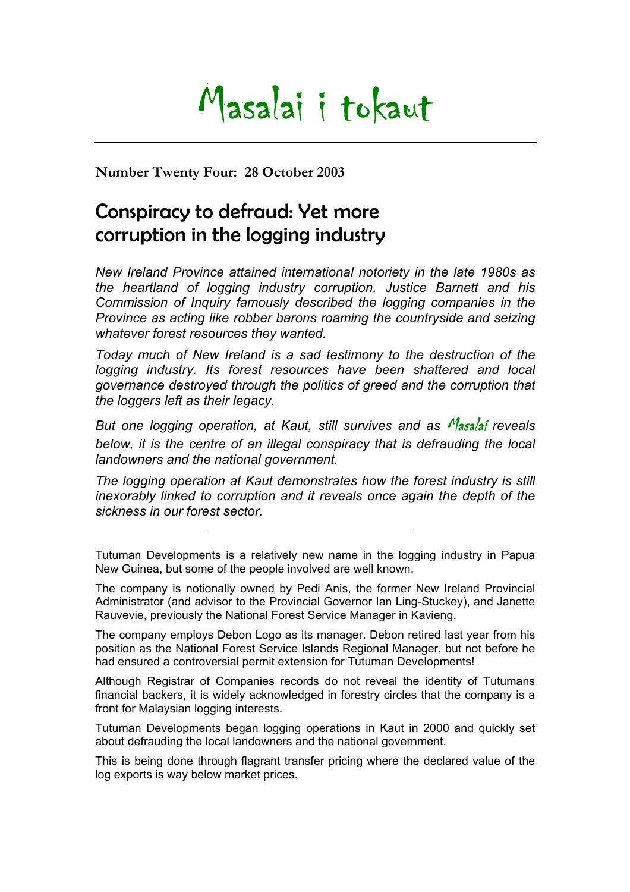## Masalai i tokaut

**Number Twenty Four: 28 October 2003** 

## Conspiracy to defraud: Yet more corruption in the logging industry

*New Ireland Province attained international notoriety in the late 1980s as the heartland of logging industry corruption. Justice Barnett and his Commission of Inquiry famously described the logging companies in the Province as acting like robber barons roaming the countryside and seizing whatever forest resources they wanted.* 

*Today much of New Ireland is a sad testimony to the destruction of the logging industry. Its forest resources have been shattered and local governance destroyed through the politics of greed and the corruption that the loggers left as their legacy.* 

*But one logging operation, at Kaut, still survives and as Masalai reveals below, it is the centre of an illegal conspiracy that is defrauding the local landowners and the national government.* 

*The logging operation at Kaut demonstrates how the forest industry is still inexorably linked to corruption and it reveals once again the depth of the sickness in our forest sector.* 

Tutuman Developments is a relatively new name in the logging industry in Papua New Guinea, but some of the people involved are well known.

The company is notionally owned by Pedi Anis, the former New Ireland Provincial Administrator (and advisor to the Provincial Governor Ian Ling-Stuckey), and Janette Rauvevie, previously the National Forest Service Manager in Kavieng.

The company employs Debon Logo as its manager. Debon retired last year from his position as the National Forest Service Islands Regional Manager, but not before he had ensured a controversial permit extension for Tutuman Developments!

Although Registrar of Companies records do not reveal the identity of Tutumans financial backers, it is widely acknowledged in forestry circles that the company is a front for Malaysian logging interests.

Tutuman Developments began logging operations in Kaut in 2000 and quickly set about defrauding the local landowners and the national government.

This is being done through flagrant transfer pricing where the declared value of the log exports is way below market prices.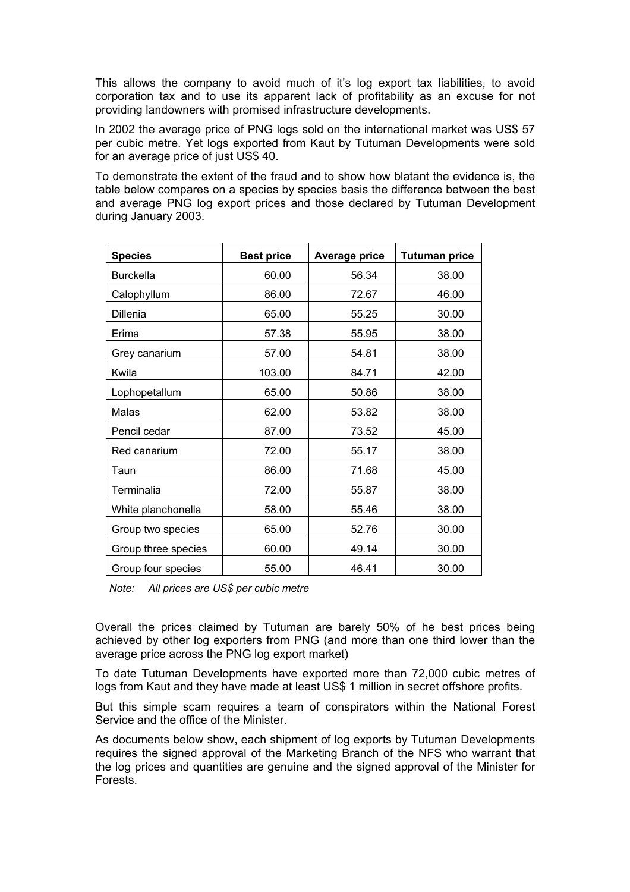This allows the company to avoid much of it's log export tax liabilities, to avoid corporation tax and to use its apparent lack of profitability as an excuse for not providing landowners with promised infrastructure developments.

In 2002 the average price of PNG logs sold on the international market was US\$ 57 per cubic metre. Yet logs exported from Kaut by Tutuman Developments were sold for an average price of just US\$ 40.

To demonstrate the extent of the fraud and to show how blatant the evidence is, the table below compares on a species by species basis the difference between the best and average PNG log export prices and those declared by Tutuman Development during January 2003.

| <b>Species</b>      | <b>Best price</b> | <b>Average price</b> | <b>Tutuman price</b> |
|---------------------|-------------------|----------------------|----------------------|
| <b>Burckella</b>    | 60.00             | 56.34                | 38.00                |
| Calophyllum         | 86.00             | 72.67                | 46.00                |
| Dillenia            | 65.00             | 55.25                | 30.00                |
| Erima               | 57.38             | 55.95                | 38.00                |
| Grey canarium       | 57.00             | 54.81                | 38.00                |
| Kwila               | 103.00            | 84.71                | 42.00                |
| Lophopetallum       | 65.00             | 50.86                | 38.00                |
| Malas               | 62.00             | 53.82                | 38.00                |
| Pencil cedar        | 87.00             | 73.52                | 45.00                |
| Red canarium        | 72.00             | 55.17                | 38.00                |
| Taun                | 86.00             | 71.68                | 45.00                |
| Terminalia          | 72.00             | 55.87                | 38.00                |
| White planchonella  | 58.00             | 55.46                | 38.00                |
| Group two species   | 65.00             | 52.76                | 30.00                |
| Group three species | 60.00             | 49.14                | 30.00                |
| Group four species  | 55.00             | 46.41                | 30.00                |

*Note: All prices are US\$ per cubic metre* 

Overall the prices claimed by Tutuman are barely 50% of he best prices being achieved by other log exporters from PNG (and more than one third lower than the average price across the PNG log export market)

To date Tutuman Developments have exported more than 72,000 cubic metres of logs from Kaut and they have made at least US\$ 1 million in secret offshore profits.

But this simple scam requires a team of conspirators within the National Forest Service and the office of the Minister.

As documents below show, each shipment of log exports by Tutuman Developments requires the signed approval of the Marketing Branch of the NFS who warrant that the log prices and quantities are genuine and the signed approval of the Minister for Forests.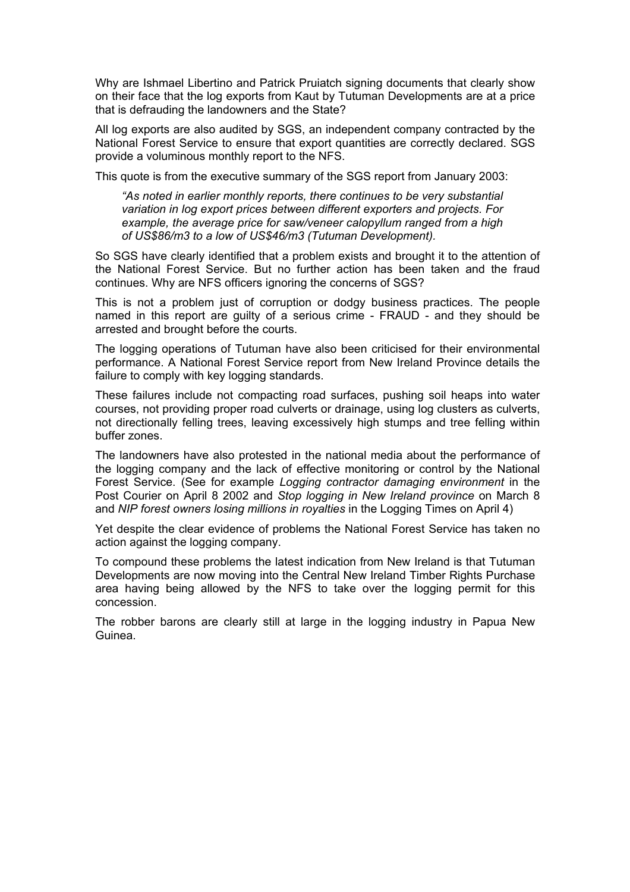Why are Ishmael Libertino and Patrick Pruiatch signing documents that clearly show on their face that the log exports from Kaut by Tutuman Developments are at a price that is defrauding the landowners and the State?

All log exports are also audited by SGS, an independent company contracted by the National Forest Service to ensure that export quantities are correctly declared. SGS provide a voluminous monthly report to the NFS.

This quote is from the executive summary of the SGS report from January 2003:

*"As noted in earlier monthly reports, there continues to be very substantial variation in log export prices between different exporters and projects. For example, the average price for saw/veneer calopyllum ranged from a high of US\$86/m3 to a low of US\$46/m3 (Tutuman Development).* 

So SGS have clearly identified that a problem exists and brought it to the attention of the National Forest Service. But no further action has been taken and the fraud continues. Why are NFS officers ignoring the concerns of SGS?

This is not a problem just of corruption or dodgy business practices. The people named in this report are guilty of a serious crime - FRAUD - and they should be arrested and brought before the courts.

The logging operations of Tutuman have also been criticised for their environmental performance. A National Forest Service report from New Ireland Province details the failure to comply with key logging standards.

These failures include not compacting road surfaces, pushing soil heaps into water courses, not providing proper road culverts or drainage, using log clusters as culverts, not directionally felling trees, leaving excessively high stumps and tree felling within buffer zones.

The landowners have also protested in the national media about the performance of the logging company and the lack of effective monitoring or control by the National Forest Service. (See for example *Logging contractor damaging environment* in the Post Courier on April 8 2002 and *Stop logging in New Ireland province* on March 8 and *NIP forest owners losing millions in royalties* in the Logging Times on April 4)

Yet despite the clear evidence of problems the National Forest Service has taken no action against the logging company.

To compound these problems the latest indication from New Ireland is that Tutuman Developments are now moving into the Central New Ireland Timber Rights Purchase area having being allowed by the NFS to take over the logging permit for this concession.

The robber barons are clearly still at large in the logging industry in Papua New Guinea.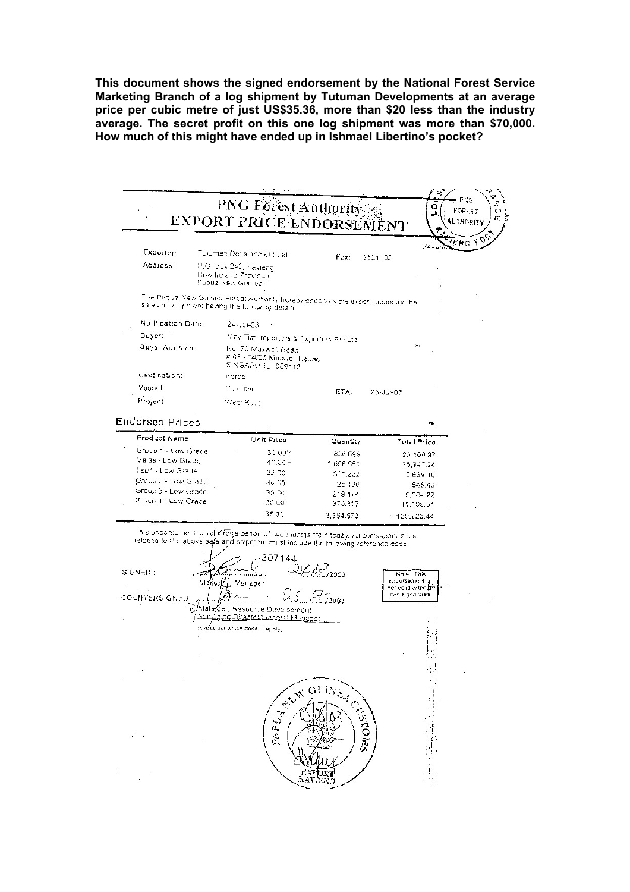**This document shows the signed endorsement by the National Forest Service Marketing Branch of a log shipment by Tutuman Developments at an average price per cubic metre of just US\$35.36, more than \$20 less than the industry average. The secret profit on this one log shipment was more than \$70,000. How much of this might have ended up in Ishmael Libertino's pocket?** 

|                                                 |                                                      |                                                             | PNG Forest Authority                                                                                                                                                       |                 | Ω                                                                   |                     |
|-------------------------------------------------|------------------------------------------------------|-------------------------------------------------------------|----------------------------------------------------------------------------------------------------------------------------------------------------------------------------|-----------------|---------------------------------------------------------------------|---------------------|
|                                                 |                                                      |                                                             | EXPORT PRICE ENDORSEMENT                                                                                                                                                   |                 |                                                                     | FOREST<br>AUYHORITY |
|                                                 |                                                      |                                                             |                                                                                                                                                                            |                 |                                                                     |                     |
|                                                 |                                                      |                                                             |                                                                                                                                                                            |                 |                                                                     | ENG PO              |
| Exporter:                                       | Tuluman Development Ltd.                             |                                                             | Fax:                                                                                                                                                                       | 9821102         |                                                                     |                     |
| Address:                                        | P.O. Box 242, Kavieng                                |                                                             |                                                                                                                                                                            |                 |                                                                     |                     |
|                                                 | New Ireland Province.<br>Papue New Guinea.           |                                                             |                                                                                                                                                                            |                 |                                                                     |                     |
|                                                 |                                                      |                                                             |                                                                                                                                                                            |                 |                                                                     |                     |
| sale and shipment having the following details. |                                                      |                                                             | The Papus New Guinea Porus! Authority hereby endorses the export prices for the                                                                                            |                 |                                                                     |                     |
| Notification Date:                              | 24-JUI-03                                            |                                                             |                                                                                                                                                                            |                 |                                                                     |                     |
| Buyer: 1                                        |                                                      |                                                             |                                                                                                                                                                            |                 |                                                                     |                     |
| Buyer Address.                                  | No. 20 Muxwell Road                                  |                                                             | May Tim importers & Exporters Pte Ltd.                                                                                                                                     |                 |                                                                     |                     |
|                                                 |                                                      | # 03 - 04/05 Maxwell House<br>SINGAPORE 069112              |                                                                                                                                                                            |                 |                                                                     |                     |
| Destination:                                    | Koroa                                                |                                                             |                                                                                                                                                                            |                 |                                                                     |                     |
| Vessel,                                         | T.an X.n.                                            |                                                             | ETA:                                                                                                                                                                       | $25 - J_0 - 03$ |                                                                     |                     |
| Project:                                        | West Kalif                                           |                                                             |                                                                                                                                                                            |                 |                                                                     |                     |
| <b>Endorsed Prices</b>                          |                                                      |                                                             |                                                                                                                                                                            |                 |                                                                     |                     |
|                                                 |                                                      |                                                             |                                                                                                                                                                            |                 | n.                                                                  |                     |
| Product Name                                    |                                                      | Unit Price                                                  | Cuantity                                                                                                                                                                   |                 | Total Price                                                         |                     |
| Group 1 - Low Grede<br>Malas - Low Grade        |                                                      | 30 00Y                                                      | 836.699                                                                                                                                                                    |                 | 25 100 97                                                           |                     |
| Taun - Low Grade                                |                                                      | 40.00 <<br>32.00                                            | 1,898.681                                                                                                                                                                  |                 | 73.947.24                                                           |                     |
| Group 2 - Low Grade                             |                                                      | 36.00                                                       | 301.222                                                                                                                                                                    |                 | 9,639.10                                                            |                     |
| Group 3 - Low Grade                             |                                                      | 30.0c                                                       | 25.180                                                                                                                                                                     |                 | 645.40                                                              |                     |
| Group 4 - Low Grade                             |                                                      | 30.00                                                       | 219 474                                                                                                                                                                    |                 | 6,534.22                                                            |                     |
|                                                 |                                                      |                                                             | 370.317                                                                                                                                                                    |                 | 11,109.51                                                           |                     |
|                                                 |                                                      | 35.36                                                       | 3,654,573                                                                                                                                                                  |                 | $-129,226,44$                                                       |                     |
|                                                 |                                                      | 307144                                                      | Inisioneonse neni is valjz forja penociof two triunths from today. All correspondence<br>relating to the above sale and shipment must include the following reference code |                 |                                                                     |                     |
| SIGNED:<br>COUNTERSIGNED                        | Mafkettig Manager<br>(Crass out which docen't apply, | Resource Development<br>ng D <u>isestos/Ganeral Manyges</u> | $2.07_{12003}$<br>$\sqrt{\frac{1}{\ell}}$ /2003                                                                                                                            |                 | Note This<br>endorsement is<br>not velid vitholam<br>two signatures |                     |